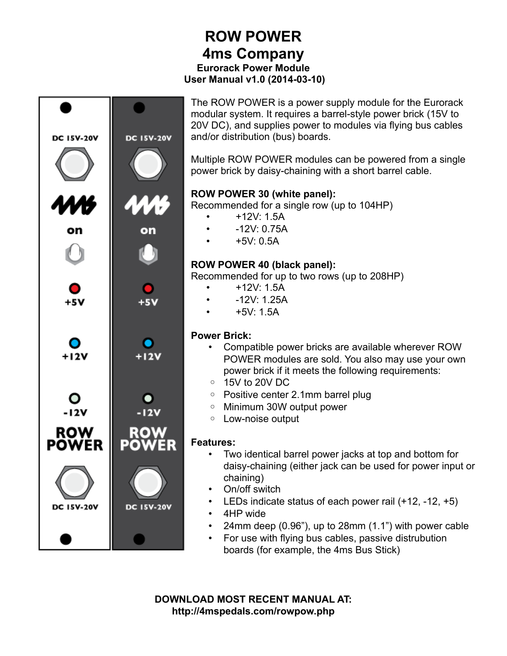## **ROW POWER 4ms Company Eurorack Power Module User Manual v1.0 (2014-03-10)**



**DOWNLOAD MOST RECENT MANUAL AT: http://4mspedals.com/rowpow.php**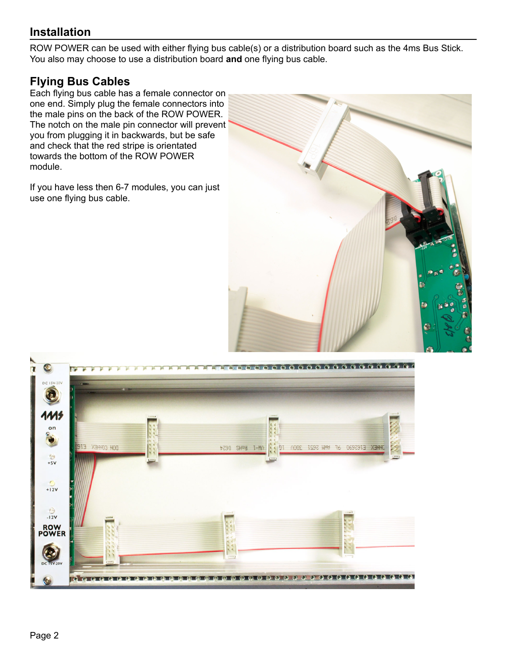## **Installation**

ROW POWER can be used with either flying bus cable(s) or a distribution board such as the 4ms Bus Stick. You also may choose to use a distribution board **and** one flying bus cable.

## **Flying Bus Cables**

Each flying bus cable has a female connector on one end. Simply plug the female connectors into the male pins on the back of the ROW POWER. The notch on the male pin connector will prevent you from plugging it in backwards, but be safe and check that the red stripe is orientated towards the bottom of the ROW POWER module.

If you have less then 6-7 modules, you can just use one flying bus cable.